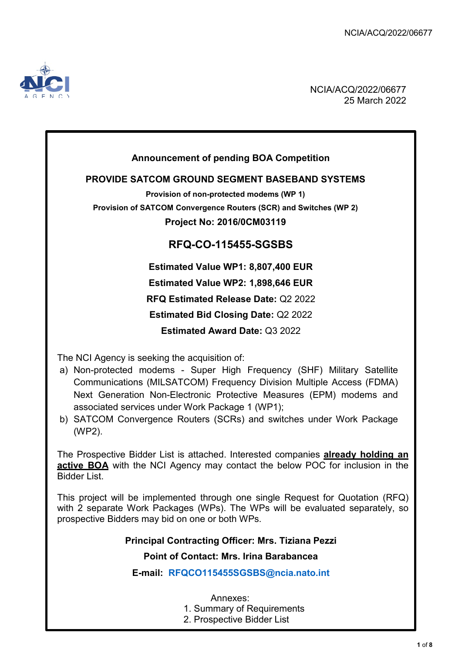

NCIA/ACQ/2022/06677 25 March 2022

# **Announcement of pending BOA Competition**

#### **PROVIDE SATCOM GROUND SEGMENT BASEBAND SYSTEMS**

**Provision of non-protected modems (WP 1) Provision of SATCOM Convergence Routers (SCR) and Switches (WP 2) Project No: 2016/0CM03119**

# **RFQ-CO-115455-SGSBS**

#### **Estimated Value WP1: 8,807,400 EUR**

**Estimated Value WP2: 1,898,646 EUR** 

**RFQ Estimated Release Date:** Q2 2022

**Estimated Bid Closing Date:** Q2 2022

**Estimated Award Date:** Q3 2022

The NCI Agency is seeking the acquisition of:

- a) Non-protected modems Super High Frequency (SHF) Military Satellite Communications (MILSATCOM) Frequency Division Multiple Access (FDMA) Next Generation Non-Electronic Protective Measures (EPM) modems and associated services under Work Package 1 (WP1);
- b) SATCOM Convergence Routers (SCRs) and switches under Work Package (WP2).

The Prospective Bidder List is attached. Interested companies **already holding an active BOA** with the NCI Agency may contact the below POC for inclusion in the Bidder List.

This project will be implemented through one single Request for Quotation (RFQ) with 2 separate Work Packages (WPs). The WPs will be evaluated separately, so prospective Bidders may bid on one or both WPs.

# **Principal Contracting Officer: Mrs. Tiziana Pezzi**

#### **Point of Contact: Mrs. Irina Barabancea**

**E-mail: [RFQCO115455SGSBS@ncia.nato.int](mailto:%20RFQCO115455SGSBS@ncia.nato.int)**

#### Annexes:

- 1. Summary of Requirements
- 2. Prospective Bidder List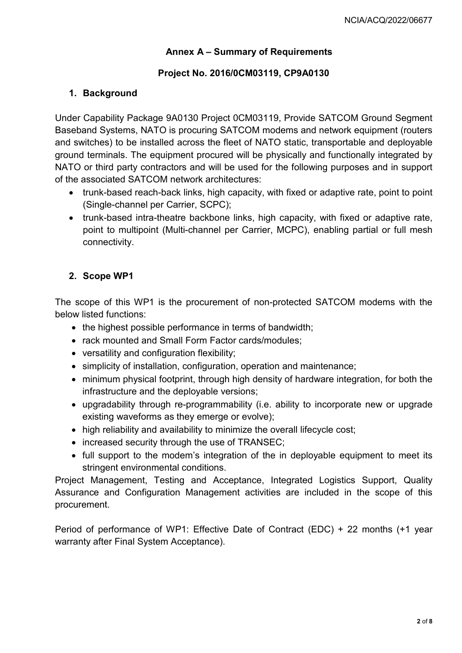## **Annex A – Summary of Requirements**

#### **Project No. 2016/0CM03119, CP9A0130**

## **1. Background**

Under Capability Package 9A0130 Project 0CM03119, Provide SATCOM Ground Segment Baseband Systems, NATO is procuring SATCOM modems and network equipment (routers and switches) to be installed across the fleet of NATO static, transportable and deployable ground terminals. The equipment procured will be physically and functionally integrated by NATO or third party contractors and will be used for the following purposes and in support of the associated SATCOM network architectures:

- trunk-based reach-back links, high capacity, with fixed or adaptive rate, point to point (Single-channel per Carrier, SCPC);
- trunk-based intra-theatre backbone links, high capacity, with fixed or adaptive rate, point to multipoint (Multi-channel per Carrier, MCPC), enabling partial or full mesh connectivity.

# **2. Scope WP1**

The scope of this WP1 is the procurement of non-protected SATCOM modems with the below listed functions:

- the highest possible performance in terms of bandwidth;
- rack mounted and Small Form Factor cards/modules;
- versatility and configuration flexibility;
- simplicity of installation, configuration, operation and maintenance;
- minimum physical footprint, through high density of hardware integration, for both the infrastructure and the deployable versions;
- upgradability through re-programmability (i.e. ability to incorporate new or upgrade existing waveforms as they emerge or evolve);
- high reliability and availability to minimize the overall lifecycle cost;
- increased security through the use of TRANSEC;
- full support to the modem's integration of the in deployable equipment to meet its stringent environmental conditions.

Project Management, Testing and Acceptance, Integrated Logistics Support, Quality Assurance and Configuration Management activities are included in the scope of this procurement.

Period of performance of WP1: Effective Date of Contract (EDC) + 22 months (+1 year warranty after Final System Acceptance).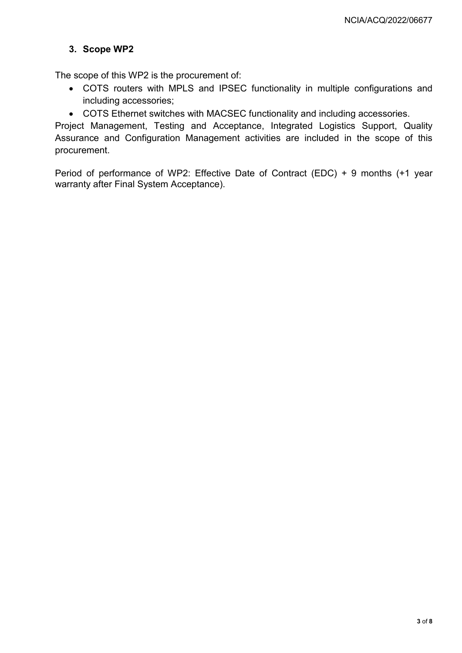#### **3. Scope WP2**

The scope of this WP2 is the procurement of:

- COTS routers with MPLS and IPSEC functionality in multiple configurations and including accessories;
- COTS Ethernet switches with MACSEC functionality and including accessories.

Project Management, Testing and Acceptance, Integrated Logistics Support, Quality Assurance and Configuration Management activities are included in the scope of this procurement.

Period of performance of WP2: Effective Date of Contract (EDC) + 9 months (+1 year warranty after Final System Acceptance).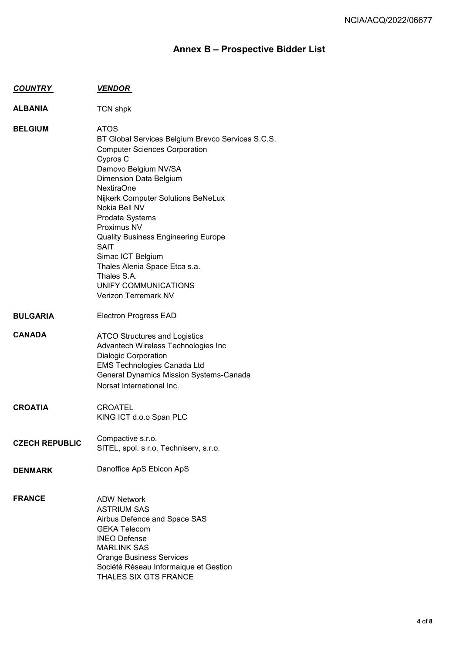# **Annex B – Prospective Bidder List**

| <b>COUNTRY</b>        | <b>VENDOR</b>                                                                                                                                                                                                                                                                                                                                                                                                                                                                 |
|-----------------------|-------------------------------------------------------------------------------------------------------------------------------------------------------------------------------------------------------------------------------------------------------------------------------------------------------------------------------------------------------------------------------------------------------------------------------------------------------------------------------|
| ALBANIA               | <b>TCN shpk</b>                                                                                                                                                                                                                                                                                                                                                                                                                                                               |
| <b>BELGIUM</b>        | <b>ATOS</b><br>BT Global Services Belgium Brevco Services S.C.S.<br><b>Computer Sciences Corporation</b><br>Cypros C<br>Damovo Belgium NV/SA<br>Dimension Data Belgium<br>NextiraOne<br><b>Nijkerk Computer Solutions BeNeLux</b><br>Nokia Bell NV<br>Prodata Systems<br>Proximus NV<br><b>Quality Business Engineering Europe</b><br><b>SAIT</b><br>Simac ICT Belgium<br>Thales Alenia Space Etca s.a.<br>Thales S.A.<br>UNIFY COMMUNICATIONS<br><b>Verizon Terremark NV</b> |
| <b>BULGARIA</b>       | <b>Electron Progress EAD</b>                                                                                                                                                                                                                                                                                                                                                                                                                                                  |
| <b>CANADA</b>         | <b>ATCO Structures and Logistics</b><br>Advantech Wireless Technologies Inc<br><b>Dialogic Corporation</b><br><b>EMS Technologies Canada Ltd</b><br>General Dynamics Mission Systems-Canada<br>Norsat International Inc.                                                                                                                                                                                                                                                      |
| <b>CROATIA</b>        | <b>CROATEL</b><br>KING ICT d.o.o Span PLC                                                                                                                                                                                                                                                                                                                                                                                                                                     |
| <b>CZECH REPUBLIC</b> | Compactive s.r.o.<br>SITEL, spol. s r.o. Techniserv, s.r.o.                                                                                                                                                                                                                                                                                                                                                                                                                   |
| <b>DENMARK</b>        | Danoffice ApS Ebicon ApS                                                                                                                                                                                                                                                                                                                                                                                                                                                      |
| <b>FRANCE</b>         | <b>ADW Network</b><br><b>ASTRIUM SAS</b><br>Airbus Defence and Space SAS<br><b>GEKA Telecom</b><br><b>INEO Defense</b><br><b>MARLINK SAS</b><br><b>Orange Business Services</b><br>Société Réseau Informaique et Gestion<br>THALES SIX GTS FRANCE                                                                                                                                                                                                                             |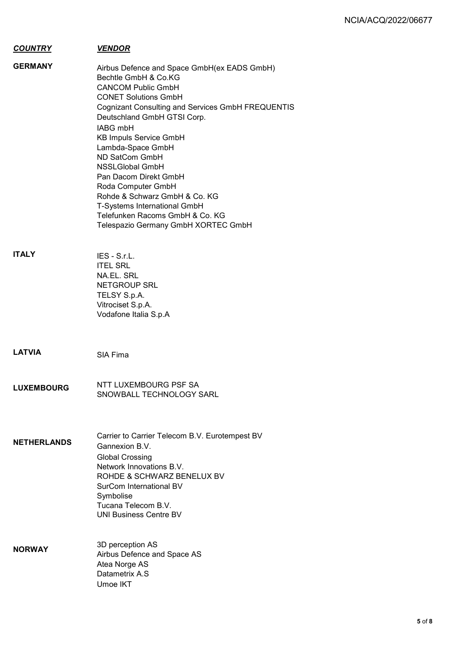| <b>COUNTRY</b>     | <b>VENDOR</b>                                                                                                                                                                                                                                                                                                                                                                                                                                                                                                                      |
|--------------------|------------------------------------------------------------------------------------------------------------------------------------------------------------------------------------------------------------------------------------------------------------------------------------------------------------------------------------------------------------------------------------------------------------------------------------------------------------------------------------------------------------------------------------|
| <b>GERMANY</b>     | Airbus Defence and Space GmbH(ex EADS GmbH)<br>Bechtle GmbH & Co.KG<br><b>CANCOM Public GmbH</b><br><b>CONET Solutions GmbH</b><br><b>Cognizant Consulting and Services GmbH FREQUENTIS</b><br>Deutschland GmbH GTSI Corp.<br>IABG mbH<br><b>KB Impuls Service GmbH</b><br>Lambda-Space GmbH<br>ND SatCom GmbH<br><b>NSSLGlobal GmbH</b><br>Pan Dacom Direkt GmbH<br>Roda Computer GmbH<br>Rohde & Schwarz GmbH & Co. KG<br>T-Systems International GmbH<br>Telefunken Racoms GmbH & Co. KG<br>Telespazio Germany GmbH XORTEC GmbH |
| <b>ITALY</b>       | $IES - S.r.L.$<br><b>ITEL SRL</b><br>NA.EL. SRL<br><b>NETGROUP SRL</b><br>TELSY S.p.A.<br>Vitrociset S.p.A.<br>Vodafone Italia S.p.A                                                                                                                                                                                                                                                                                                                                                                                               |
| <b>LATVIA</b>      | SIA Fima                                                                                                                                                                                                                                                                                                                                                                                                                                                                                                                           |
| <b>LUXEMBOURG</b>  | NTT LUXEMBOURG PSF SA<br>SNOWBALL TECHNOLOGY SARL                                                                                                                                                                                                                                                                                                                                                                                                                                                                                  |
| <b>NETHERLANDS</b> | Carrier to Carrier Telecom B.V. Eurotempest BV<br>Gannexion B.V.<br><b>Global Crossing</b><br>Network Innovations B.V.<br>ROHDE & SCHWARZ BENELUX BV<br>SurCom International BV<br>Symbolise<br>Tucana Telecom B.V.<br><b>UNI Business Centre BV</b>                                                                                                                                                                                                                                                                               |
| <b>NORWAY</b>      | 3D perception AS<br>Airbus Defence and Space AS<br>Atea Norge AS<br>Datametrix A.S<br>Umoe IKT                                                                                                                                                                                                                                                                                                                                                                                                                                     |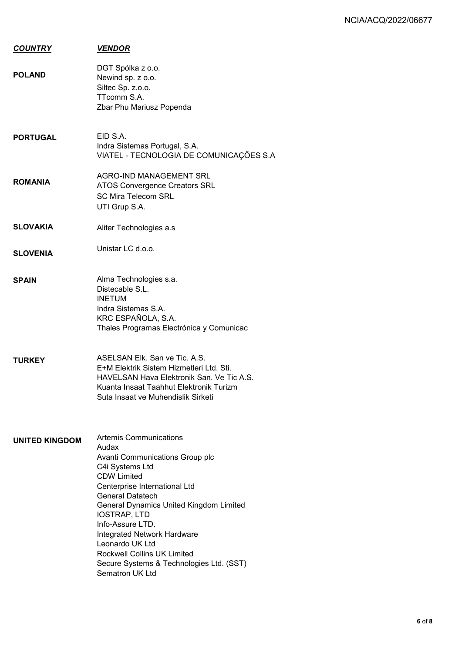| <b>COUNTRY</b>        | <b>VENDOR</b>                                                                                                                                                                                                                                                                                                                                                                                                        |
|-----------------------|----------------------------------------------------------------------------------------------------------------------------------------------------------------------------------------------------------------------------------------------------------------------------------------------------------------------------------------------------------------------------------------------------------------------|
| POLAND                | DGT Spólka z o.o.<br>Newind sp. z o.o.<br>Siltec Sp. z.o.o.<br>TTcomm S.A.<br>Zbar Phu Mariusz Popenda                                                                                                                                                                                                                                                                                                               |
| <b>PORTUGAL</b>       | EID S.A.<br>Indra Sistemas Portugal, S.A.<br>VIATEL - TECNOLOGIA DE COMUNICAÇÕES S.A                                                                                                                                                                                                                                                                                                                                 |
| <b>ROMANIA</b>        | AGRO-IND MANAGEMENT SRL<br><b>ATOS Convergence Creators SRL</b><br><b>SC Mira Telecom SRL</b><br>UTI Grup S.A.                                                                                                                                                                                                                                                                                                       |
| <b>SLOVAKIA</b>       | Aliter Technologies a.s                                                                                                                                                                                                                                                                                                                                                                                              |
| <b>SLOVENIA</b>       | Unistar LC d.o.o.                                                                                                                                                                                                                                                                                                                                                                                                    |
| <b>SPAIN</b>          | Alma Technologies s.a.<br>Distecable S.L.<br><b>INETUM</b><br>Indra Sistemas S.A.<br>KRC ESPAÑOLA, S.A.<br>Thales Programas Electrónica y Comunicac                                                                                                                                                                                                                                                                  |
| <b>TURKEY</b>         | ASELSAN Elk. San ve Tic. A.S.<br>E+M Elektrik Sistem Hizmetleri Ltd. Sti.<br>HAVELSAN Hava Elektronik San, Ve Tic A.S.<br>Kuanta Insaat Taahhut Elektronik Turizm<br>Suta Insaat ve Muhendislik Sirketi                                                                                                                                                                                                              |
| <b>UNITED KINGDOM</b> | <b>Artemis Communications</b><br>Audax<br>Avanti Communications Group plc<br>C4i Systems Ltd<br><b>CDW Limited</b><br>Centerprise International Ltd<br><b>General Datatech</b><br>General Dynamics United Kingdom Limited<br><b>IOSTRAP, LTD</b><br>Info-Assure LTD.<br>Integrated Network Hardware<br>Leonardo UK Ltd<br>Rockwell Collins UK Limited<br>Secure Systems & Technologies Ltd. (SST)<br>Sematron UK Ltd |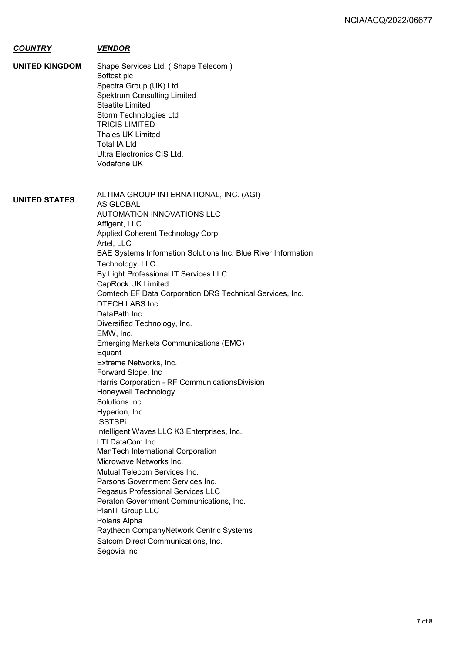| <b>COUNTRY</b>        | <b>VENDOR</b>                                                                                                                                                                                                                                                                                                                                                                                                                                                                                                                                                                                                                                                                                                                                                                                                                                                                                                                                                                                                                                                                                                                          |
|-----------------------|----------------------------------------------------------------------------------------------------------------------------------------------------------------------------------------------------------------------------------------------------------------------------------------------------------------------------------------------------------------------------------------------------------------------------------------------------------------------------------------------------------------------------------------------------------------------------------------------------------------------------------------------------------------------------------------------------------------------------------------------------------------------------------------------------------------------------------------------------------------------------------------------------------------------------------------------------------------------------------------------------------------------------------------------------------------------------------------------------------------------------------------|
| <b>UNITED KINGDOM</b> | Shape Services Ltd. (Shape Telecom)<br>Softcat plc<br>Spectra Group (UK) Ltd<br><b>Spektrum Consulting Limited</b><br><b>Steatite Limited</b><br>Storm Technologies Ltd<br><b>TRICIS LIMITED</b><br><b>Thales UK Limited</b><br><b>Total IA Ltd</b><br>Ultra Electronics CIS Ltd.<br>Vodafone UK                                                                                                                                                                                                                                                                                                                                                                                                                                                                                                                                                                                                                                                                                                                                                                                                                                       |
| <b>UNITED STATES</b>  | ALTIMA GROUP INTERNATIONAL, INC. (AGI)<br>AS GLOBAL<br>AUTOMATION INNOVATIONS LLC<br>Affigent, LLC<br>Applied Coherent Technology Corp.<br>Artel, LLC<br>BAE Systems Information Solutions Inc. Blue River Information<br>Technology, LLC<br>By Light Professional IT Services LLC<br>CapRock UK Limited<br>Comtech EF Data Corporation DRS Technical Services, Inc.<br><b>DTECH LABS Inc</b><br>DataPath Inc<br>Diversified Technology, Inc.<br>EMW, Inc.<br><b>Emerging Markets Communications (EMC)</b><br>Equant<br>Extreme Networks, Inc.<br>Forward Slope, Inc<br>Harris Corporation - RF CommunicationsDivision<br>Honeywell Technology<br>Solutions Inc.<br>Hyperion, Inc.<br><b>ISSTSPi</b><br>Intelligent Waves LLC K3 Enterprises, Inc.<br>LTI DataCom Inc.<br>ManTech International Corporation<br>Microwave Networks Inc.<br>Mutual Telecom Services Inc.<br>Parsons Government Services Inc.<br>Pegasus Professional Services LLC<br>Peraton Government Communications, Inc.<br><b>PlanIT Group LLC</b><br>Polaris Alpha<br>Raytheon CompanyNetwork Centric Systems<br>Satcom Direct Communications, Inc.<br>Segovia Inc |